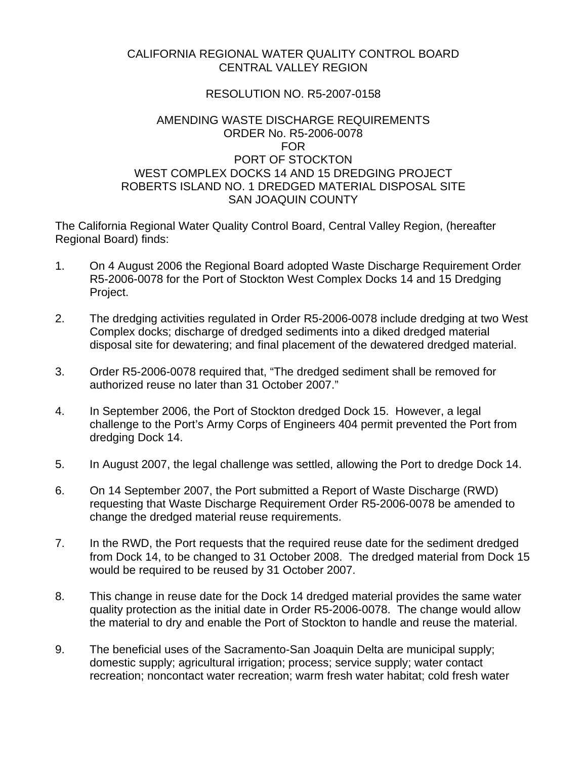## CALIFORNIA REGIONAL WATER QUALITY CONTROL BOARD CENTRAL VALLEY REGION

## RESOLUTION NO. R5-2007-0158

## AMENDING WASTE DISCHARGE REQUIREMENTS ORDER No. R5-2006-0078 FOR PORT OF STOCKTON WEST COMPLEX DOCKS 14 AND 15 DREDGING PROJECT ROBERTS ISLAND NO. 1 DREDGED MATERIAL DISPOSAL SITE SAN JOAQUIN COUNTY

The California Regional Water Quality Control Board, Central Valley Region, (hereafter Regional Board) finds:

- 1. On 4 August 2006 the Regional Board adopted Waste Discharge Requirement Order R5-2006-0078 for the Port of Stockton West Complex Docks 14 and 15 Dredging Project.
- 2. The dredging activities regulated in Order R5-2006-0078 include dredging at two West Complex docks; discharge of dredged sediments into a diked dredged material disposal site for dewatering; and final placement of the dewatered dredged material.
- 3. Order R5-2006-0078 required that, "The dredged sediment shall be removed for authorized reuse no later than 31 October 2007."
- 4. In September 2006, the Port of Stockton dredged Dock 15. However, a legal challenge to the Port's Army Corps of Engineers 404 permit prevented the Port from dredging Dock 14.
- 5. In August 2007, the legal challenge was settled, allowing the Port to dredge Dock 14.
- 6. On 14 September 2007, the Port submitted a Report of Waste Discharge (RWD) requesting that Waste Discharge Requirement Order R5-2006-0078 be amended to change the dredged material reuse requirements.
- 7. In the RWD, the Port requests that the required reuse date for the sediment dredged from Dock 14, to be changed to 31 October 2008. The dredged material from Dock 15 would be required to be reused by 31 October 2007.
- 8. This change in reuse date for the Dock 14 dredged material provides the same water quality protection as the initial date in Order R5-2006-0078. The change would allow the material to dry and enable the Port of Stockton to handle and reuse the material.
- 9. The beneficial uses of the Sacramento-San Joaquin Delta are municipal supply; domestic supply; agricultural irrigation; process; service supply; water contact recreation; noncontact water recreation; warm fresh water habitat; cold fresh water